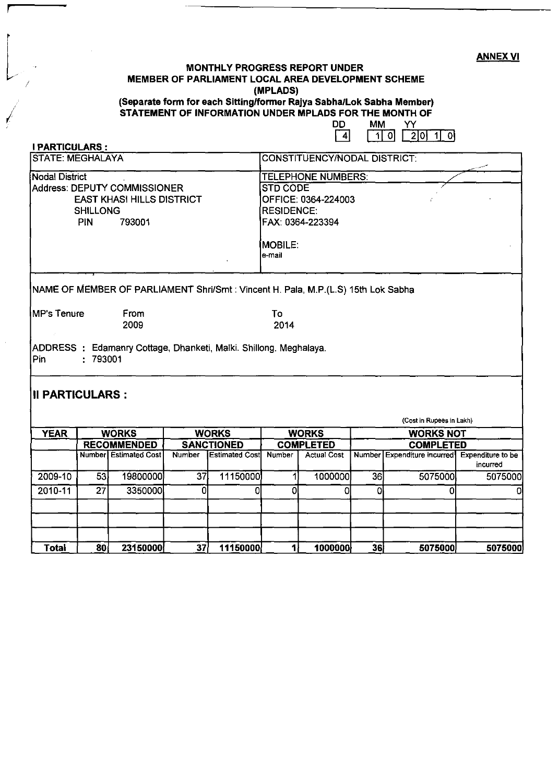## MONTHLY PROGRESS REPORT UNDER<br>MEMBER OF PARLIAMENT LOCAL AREA DEVELOPMENT SCHEME<br>MPLADSI (MPLADS) MONTHLY PROGRESS REPORT UNDER MEMBER OF PARLIAMENT LOCAL AREA DEVELOPMENT SCHEME (MPLADS) (Separate form for each Sittinglformer Rajya Sabha/Lok Sabha Member)

r

 $\sqrt{2}$ 

STATEMENT OF INFORMATION UNDER MPLADS FOR THE MONTH OF

| DI | им |            |  |
|----|----|------------|--|
|    | וח | 2101<br>۱۱ |  |

| $2010 - 11$                                                                                                            | $\overline{27}$              | 3350000                                                                           | 0             | Ω                     | Οl                                    | ٥                            | Ol               | 0                                             | 0        |  |  |
|------------------------------------------------------------------------------------------------------------------------|------------------------------|-----------------------------------------------------------------------------------|---------------|-----------------------|---------------------------------------|------------------------------|------------------|-----------------------------------------------|----------|--|--|
| 2009-10                                                                                                                | 53                           | 19800000                                                                          | 37            | 11150000              | 11                                    | 1000000                      | 36               | 5075000                                       | 5075000  |  |  |
|                                                                                                                        |                              | <b>Number</b> Estimated Cost                                                      | <b>Number</b> | <b>Estimated Cost</b> | <b>Number</b>                         | <b>Actual Cost</b>           |                  | Number Expenditure incurred Expenditure to be | incurred |  |  |
|                                                                                                                        |                              | <b>RECOMMENDED</b>                                                                |               | <b>SANCTIONED</b>     |                                       | <b>COMPLETED</b>             |                  | <b>COMPLETED</b>                              |          |  |  |
| <b>YEAR</b>                                                                                                            | <b>WORKS</b><br><b>WORKS</b> |                                                                                   |               |                       |                                       | <b>WORKS</b>                 | <b>WORKS NOT</b> |                                               |          |  |  |
| III PARTICULARS :                                                                                                      |                              |                                                                                   |               |                       |                                       |                              |                  | (Cost in Rupees in Lakh)                      |          |  |  |
| <b>Pin</b>                                                                                                             | : 793001                     | ADDRESS: Edamanry Cottage, Dhanketi, Malki. Shillong. Meghalaya.                  |               |                       |                                       |                              |                  |                                               |          |  |  |
| <b>MP's Tenure</b>                                                                                                     |                              | From<br>2009                                                                      |               |                       | To<br>2014                            |                              |                  |                                               |          |  |  |
|                                                                                                                        |                              | NAME OF MEMBER OF PARLIAMENT Shri/Smt : Vincent H. Pala, M.P.(L.S) 15th Lok Sabha |               |                       |                                       |                              |                  |                                               |          |  |  |
|                                                                                                                        |                              |                                                                                   |               |                       | <b>MOBILE.</b><br>e-mail              |                              |                  |                                               |          |  |  |
| Nodal District<br>Address: DEPUTY COMMISSIONER<br><b>EAST KHASI HILLS DISTRICT</b><br><b>SHILLONG</b><br>PIN<br>793001 |                              |                                                                                   |               |                       | <b>RESIDENCE:</b><br>FAX: 0364-223394 |                              |                  |                                               |          |  |  |
|                                                                                                                        |                              |                                                                                   |               |                       | OFFICE: 0364-224003                   |                              |                  |                                               |          |  |  |
|                                                                                                                        |                              |                                                                                   |               |                       | <b>STD CODE</b>                       |                              |                  |                                               |          |  |  |
|                                                                                                                        |                              |                                                                                   |               |                       | TELEPHONE NUMBERS:                    |                              |                  |                                               |          |  |  |
| <b>I PARTICULARS:</b><br><b>STATE: MEGHALAYA</b>                                                                       |                              |                                                                                   |               |                       |                                       | CONSTITUENCY/NODAL DISTRICT: |                  |                                               |          |  |  |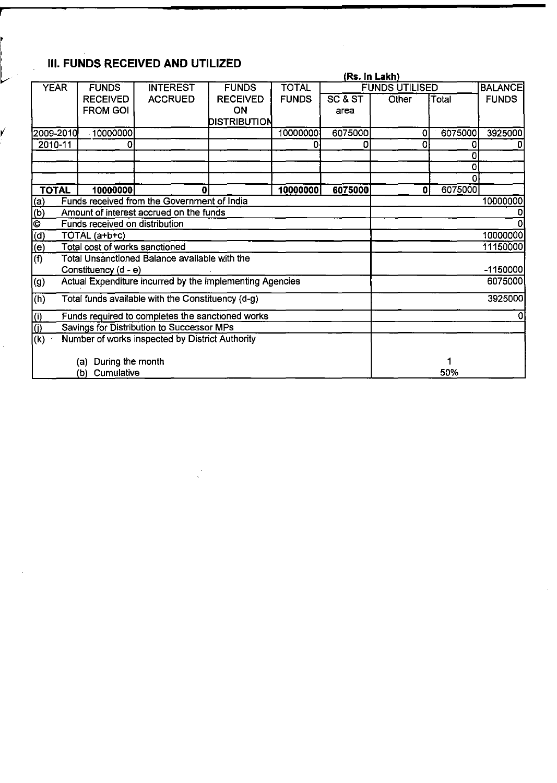## III. FUNDS RECEIVED AND UTILIZED

**r** 

|                                                          |                                                          |                                                  |                 |              |         | (Rs. In Lakh)         |         |                |
|----------------------------------------------------------|----------------------------------------------------------|--------------------------------------------------|-----------------|--------------|---------|-----------------------|---------|----------------|
| <b>YEAR</b>                                              | <b>FUNDS</b>                                             | <b>INTEREST</b>                                  | <b>FUNDS</b>    | <b>TOTAL</b> |         | <b>FUNDS UTILISED</b> |         | <b>BALANCE</b> |
|                                                          | <b>RECEIVED</b>                                          | <b>ACCRUED</b>                                   | <b>RECEIVED</b> | <b>FUNDS</b> | SC & ST | Other                 | Total   | <b>FUNDS</b>   |
|                                                          | <b>FROM GOI</b>                                          |                                                  | ON              |              | area    |                       |         |                |
|                                                          |                                                          |                                                  | DISTRIBUTION    |              |         |                       |         |                |
| 2009-2010                                                | 10000000                                                 |                                                  |                 | 10000000     | 6075000 | 0                     | 6075000 | 3925000        |
| 2010-11                                                  | 0                                                        |                                                  |                 | 0            | 0       | 0                     | 0       |                |
|                                                          |                                                          |                                                  |                 |              |         |                       | 0<br>0  |                |
|                                                          |                                                          |                                                  |                 |              |         |                       |         |                |
| <b>TOTAL</b>                                             | 10000000                                                 | U                                                |                 | 10000000     | 6075000 | 0                     | 6075000 |                |
| (a)                                                      |                                                          | Funds received from the Government of India      |                 |              |         |                       |         | 10000000       |
| (b)                                                      |                                                          | Amount of interest accrued on the funds          |                 |              |         |                       |         |                |
| O                                                        | Funds received on distribution                           |                                                  |                 |              |         |                       |         |                |
| (d)                                                      | TOTAL (a+b+c)                                            |                                                  |                 |              |         |                       |         | 10000000       |
| (e)                                                      | Total cost of works sanctioned                           |                                                  |                 |              |         |                       |         | 11150000       |
| (f)                                                      |                                                          | Total Unsanctioned Balance available with the    |                 |              |         |                       |         |                |
|                                                          | Constituency (d - e)                                     |                                                  |                 |              |         |                       |         | $-1150000$     |
| (g)                                                      | Actual Expenditure incurred by the implementing Agencies |                                                  |                 |              |         |                       |         | 6075000        |
| Total funds available with the Constituency (d-g)<br>(h) |                                                          |                                                  |                 |              |         |                       |         | 3925000        |
| (i)                                                      |                                                          | Funds required to completes the sanctioned works |                 |              |         |                       |         |                |
|                                                          |                                                          | Savings for Distribution to Successor MPs        |                 |              |         |                       |         |                |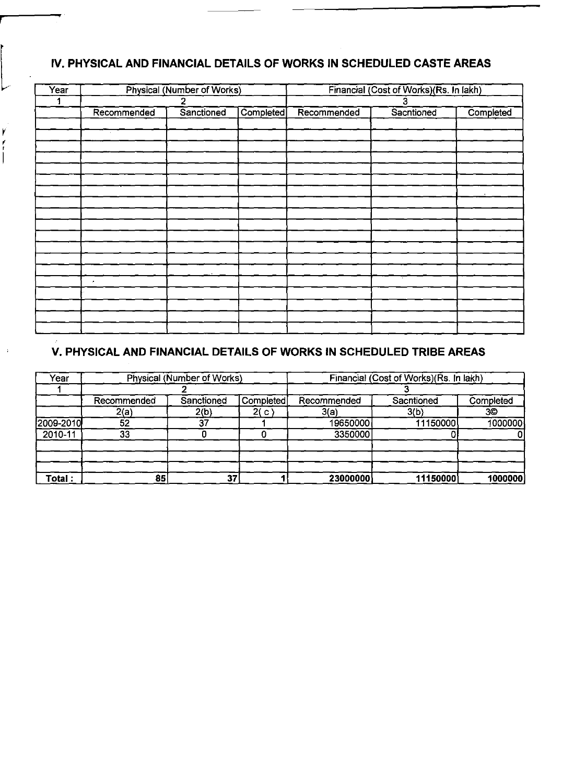## **IV. PHYSICAL AND FINANCIAL DETAILS OF WORKS IN SCHEDULED CASTE AREAS**

*r* 

| Year |                         | Physical (Number of Works) |            | Financial (Cost of Works) (Rs. In lakh) |            |           |  |
|------|-------------------------|----------------------------|------------|-----------------------------------------|------------|-----------|--|
|      |                         | 2                          |            | 3                                       |            |           |  |
|      | Recommended             | Sanctioned                 | Completed] | Recommended                             | Sacntioned | Completed |  |
|      |                         |                            |            |                                         |            |           |  |
|      | $\sim$                  |                            |            |                                         |            |           |  |
|      |                         |                            |            |                                         |            |           |  |
|      |                         |                            |            |                                         |            |           |  |
|      |                         |                            |            |                                         |            |           |  |
|      |                         |                            |            |                                         |            |           |  |
|      |                         |                            |            |                                         |            |           |  |
|      |                         |                            |            |                                         |            |           |  |
|      |                         |                            |            |                                         |            |           |  |
|      |                         |                            |            |                                         |            |           |  |
|      |                         |                            |            |                                         |            |           |  |
|      |                         |                            |            |                                         |            |           |  |
|      |                         |                            |            |                                         |            |           |  |
|      |                         |                            |            |                                         |            |           |  |
|      | $\boldsymbol{\epsilon}$ |                            |            |                                         |            |           |  |
|      |                         |                            |            |                                         |            |           |  |
|      |                         |                            |            |                                         |            |           |  |
|      |                         |                            |            |                                         |            |           |  |
|      |                         |                            |            |                                         |            |           |  |

## **v. PHYSICAL AND FINANCIAL DETAILS OF WORKS IN SCHEDULED TRIBE AREAS**

| Year      |             | Physical (Number of Works) |           | Financial (Cost of Works) (Rs. In lakh) |            |           |  |
|-----------|-------------|----------------------------|-----------|-----------------------------------------|------------|-----------|--|
|           |             |                            |           |                                         |            |           |  |
|           | Recommended | Sanctioned                 | Completed | Recommended                             | Sacntioned | Completed |  |
|           | 2(a)        | 2(b)                       | 2(c)      | 3(a)                                    | 3(b)       | 3O        |  |
| 2009-2010 | 52          | 27                         |           | 19650000                                | 11150000   | 1000000   |  |
| 2010-11   | 33          |                            |           | 3350000                                 |            |           |  |
|           |             |                            |           |                                         |            |           |  |
| Total:    | 85          | 37                         |           | 23000000                                | 11150000   | 1000000   |  |